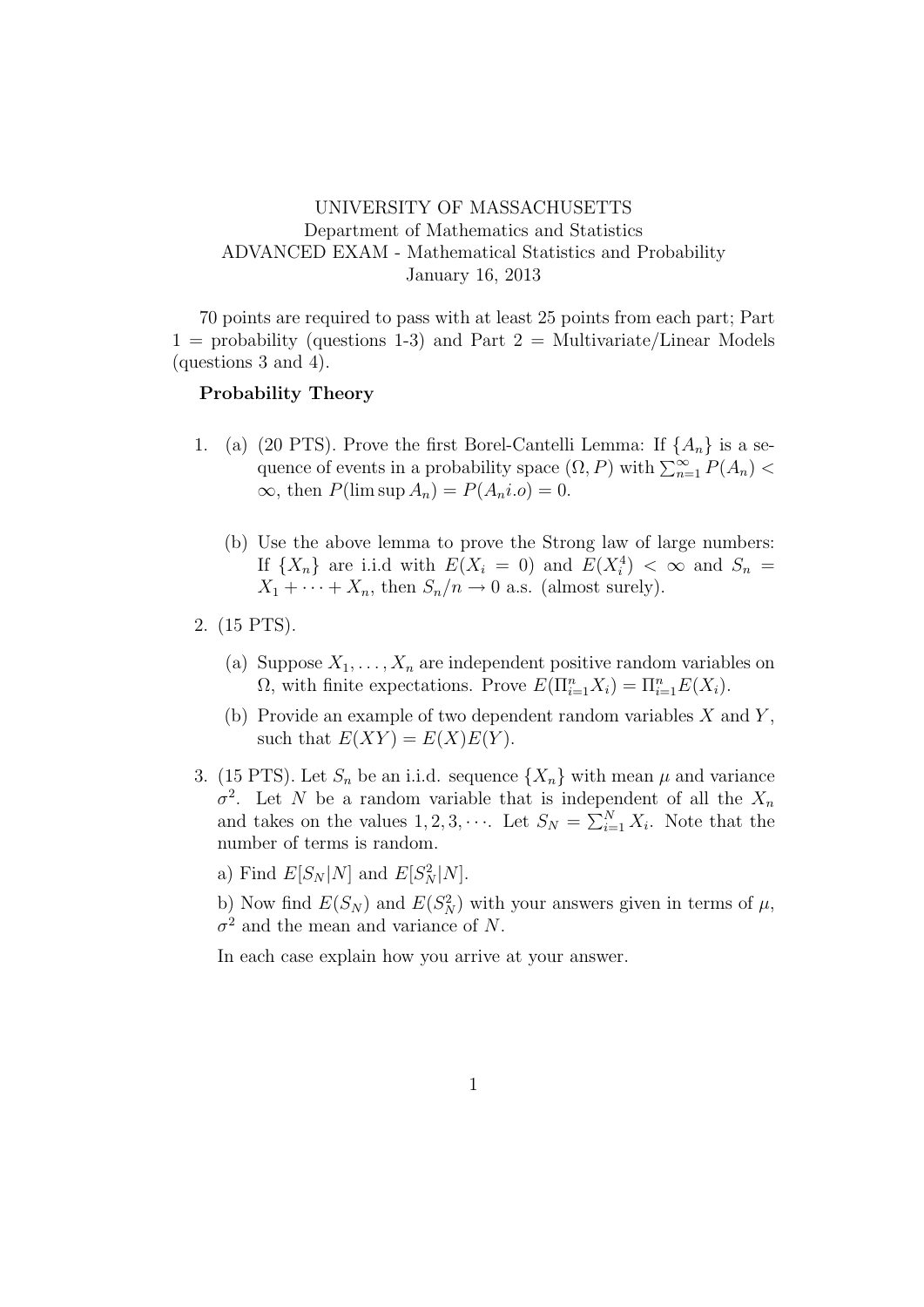## UNIVERSITY OF MASSACHUSETTS Department of Mathematics and Statistics ADVANCED EXAM - Mathematical Statistics and Probability January 16, 2013

70 points are required to pass with at least 25 points from each part; Part  $1 =$  probability (questions 1-3) and Part  $2 =$  Multivariate/Linear Models (questions 3 and 4).

## Probability Theory

- 1. (a) (20 PTS). Prove the first Borel-Cantelli Lemma: If  $\{A_n\}$  is a sequence of events in a probability space  $(\Omega, P)$  with  $\sum_{n=1}^{\infty} P(A_n)$  $\infty$ , then  $P(\limsup A_n) = P(A_n i.o) = 0$ .
	- (b) Use the above lemma to prove the Strong law of large numbers: If  $\{X_n\}$  are i.i.d with  $E(X_i = 0)$  and  $E(X_i^4) < \infty$  and  $S_n =$  $X_1 + \cdots + X_n$ , then  $S_n/n \to 0$  a.s. (almost surely).
- 2. (15 PTS).
	- (a) Suppose  $X_1, \ldots, X_n$  are independent positive random variables on  $\Omega$ , with finite expectations. Prove  $E(\Pi_{i=1}^n X_i) = \Pi_{i=1}^n E(X_i)$ .
	- (b) Provide an example of two dependent random variables  $X$  and  $Y$ , such that  $E(XY) = E(X)E(Y)$ .
- 3. (15 PTS). Let  $S_n$  be an i.i.d. sequence  $\{X_n\}$  with mean  $\mu$  and variance  $\sigma^2$ . Let N be a random variable that is independent of all the  $X_n$ and takes on the values  $1, 2, 3, \cdots$ . Let  $S_N = \sum_{i=1}^N X_i$ . Note that the number of terms is random.

a) Find  $E[S_N|N]$  and  $E[S_N^2|N]$ .

b) Now find  $E(S_N)$  and  $E(S_N^2)$  with your answers given in terms of  $\mu$ ,  $\sigma^2$  and the mean and variance of N.

In each case explain how you arrive at your answer.